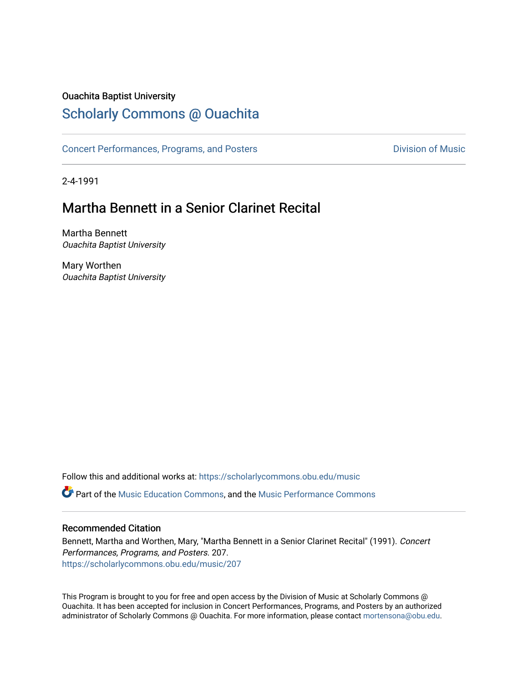### Ouachita Baptist University

## [Scholarly Commons @ Ouachita](https://scholarlycommons.obu.edu/)

[Concert Performances, Programs, and Posters](https://scholarlycommons.obu.edu/music) **Division of Music** Division of Music

2-4-1991

# Martha Bennett in a Senior Clarinet Recital

Martha Bennett Ouachita Baptist University

Mary Worthen Ouachita Baptist University

Follow this and additional works at: [https://scholarlycommons.obu.edu/music](https://scholarlycommons.obu.edu/music?utm_source=scholarlycommons.obu.edu%2Fmusic%2F207&utm_medium=PDF&utm_campaign=PDFCoverPages)  **C** Part of the [Music Education Commons,](http://network.bepress.com/hgg/discipline/1246?utm_source=scholarlycommons.obu.edu%2Fmusic%2F207&utm_medium=PDF&utm_campaign=PDFCoverPages) and the Music Performance Commons

### Recommended Citation

Bennett, Martha and Worthen, Mary, "Martha Bennett in a Senior Clarinet Recital" (1991). Concert Performances, Programs, and Posters. 207. [https://scholarlycommons.obu.edu/music/207](https://scholarlycommons.obu.edu/music/207?utm_source=scholarlycommons.obu.edu%2Fmusic%2F207&utm_medium=PDF&utm_campaign=PDFCoverPages) 

This Program is brought to you for free and open access by the Division of Music at Scholarly Commons @ Ouachita. It has been accepted for inclusion in Concert Performances, Programs, and Posters by an authorized administrator of Scholarly Commons @ Ouachita. For more information, please contact [mortensona@obu.edu](mailto:mortensona@obu.edu).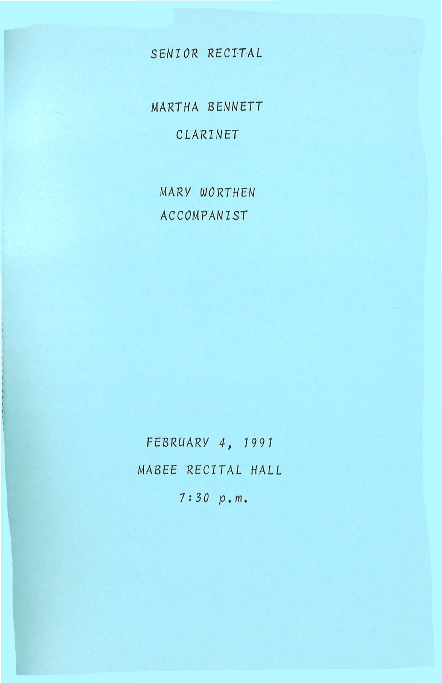## *SENIOR RECITAL*

*MARTHA BENNETT CLARINET* 

MARY. *WORTHEN ACCOMPANIST* 

*FEBRUARY 4, 1991 MABEE RECITAL HALL* 

*7:30 p.m.*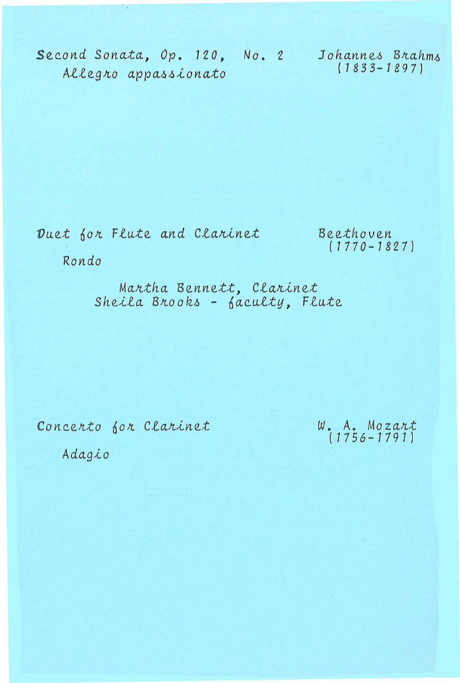Second Sonata, Op. 120, No. 2 Johannes Brahms  $(1833 - 1897)$ Allegro appassionato

Duet for Flute and Clarinet

Beethoven  $(1770 - 1827)$ 

Rondo

Martha Bennett, Clarinet<br>Sheila Brooks - faculty, Flute

Concerto for Clarinet

 $W. A. Mozart$ <br>(1756-1791)

Adagio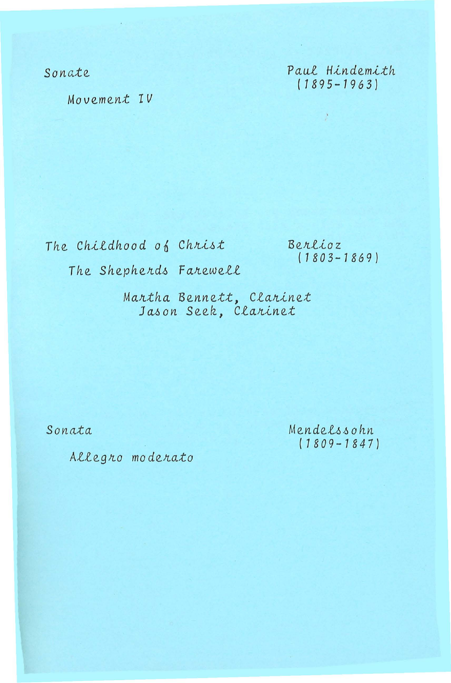Sonate

Paul Hindemith  $(1895 - 1963)$ 

)

Movement IV

The Childhood of Christ The Shepherds Farewell Berlioz  $(1803 - 1869)$ 

Martha Bennett, Clarinet Jason Seek, Clarinet

Sonata

Mendelssohn  $(1809 - 1847)$ 

Allegro moderato